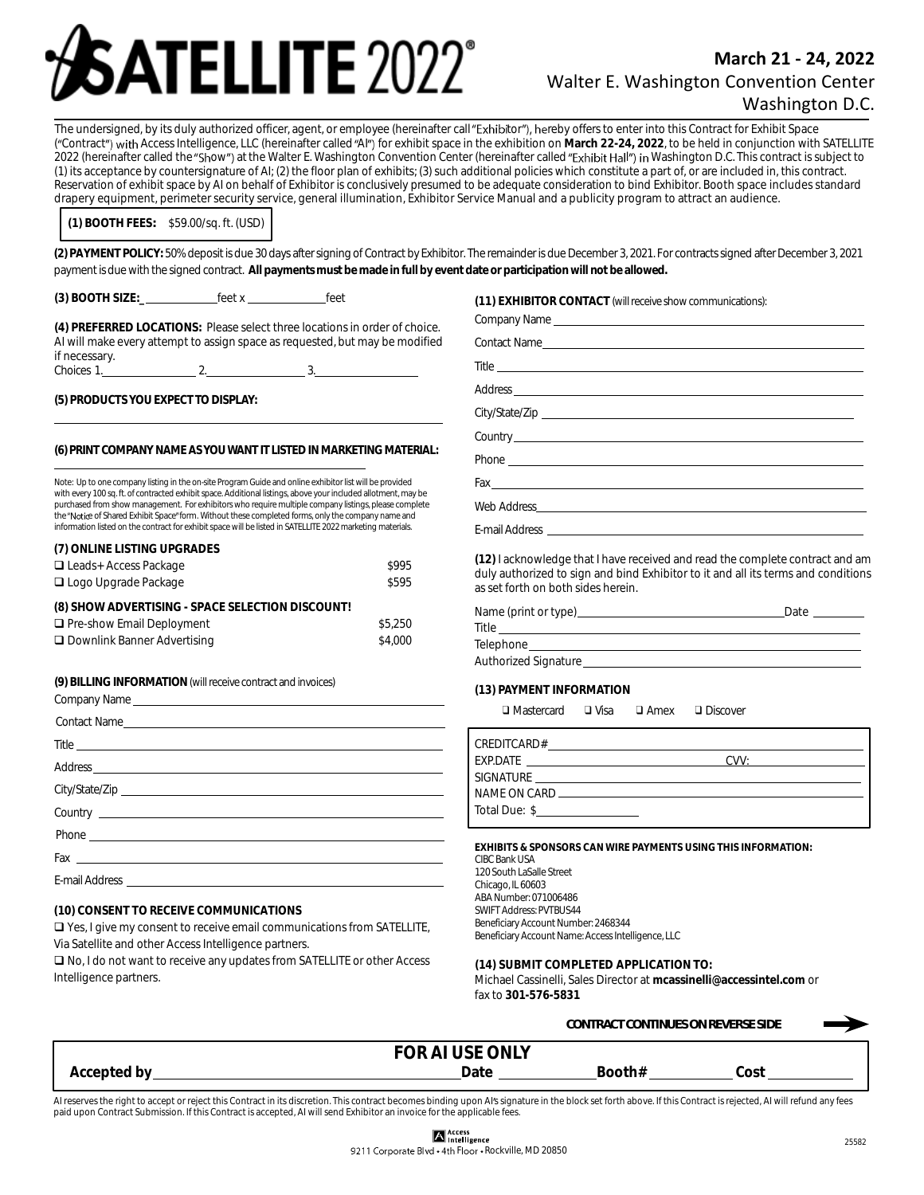# **ATELLITE 2022**

# **March 21 - 24, 2022** Walter E. Washington Convention Center Washington D.C.

The undersigned, by its duly authorized officer, agent, or employee (hereinafter call "Exhibitor"), hereby offers to enter into this Contract for Exhibit Space ("Contract") with Access Intelligence, LLC (hereinafter called "AI") for exhibit space in the exhibition on March 22-24, 2022, to be held in conjunction with SATELLITE 2022 (hereinafter called the "Show") at the Walter E. Washington Convention Center (hereinafter called "Exhibit Hall") in Washington D.C. This contract is subject to (1) its acceptance by countersignature of AI; (2) the floor plan of exhibits; (3) such additional policies which constitute a part of, or are included in, this contract. Reservation of exhibit space by AI on behalf of Exhibitor is conclusively presumed to be adequate consideration to bind Exhibitor. Booth space includes standard drapery equipment, perimeter security service, general illumination, Exhibitor Service Manual and a publicity program to attract an audience.

**(1) BOOTH FEES***:* \$59.00/sq. ft. (USD)

**(2) PAYMENT POLICY:** 50% deposit is due 30 days after signing of Contract by Exhibitor. The remainder is due December 3, 2021. For contracts signed after December 3, 2021 payment is due with the signed contract. All payments must be made in full by event date or participation will not be allowed.

**(3) BOOTH SIZE:\_** feet x feet

**(4) PREFERRED LOCATIONS:** Please select three locations in order of choice. AI will make every attempt to assign space as requested, but may be modified if necessary.<br>Choices 1.  $2.$  3.

**(5) PRODUCTSYOUEXPECTTO DISPLAY:**

### **(6)PRINTCOMPANYNAMEASYOUWANT ITLISTEDINMARKETINGMATERIAL:**

Note: Up to one company listing in the on-site Program Guide and online exhibitor list will be provided with every 100 sq. ft. of contracted exhibit space. Additional listings, above your included allotment, may be purchased from show management. For exhibitors who require multiple company listings, please complete the "Notice of Shared Exhibit Space" form. Without these completed forms, only the company name and information listed on the contract for exhibit space will be listed in SATELLITE 2022 marketing materials.

| (7) ONLINE LISTING UPGRADES                      |         |
|--------------------------------------------------|---------|
| $\Box$ Leads+ Access Package                     | \$995   |
| $\Box$ Logo Upgrade Package                      | \$595   |
| (8) SHOW ADVERTISING - SPACE SELECTION DISCOUNT! |         |
| □ Pre-show Email Deployment                      | \$5.250 |
| □ Downlink Banner Advertising                    | \$4,000 |

**(9) BILLINGINFORMATION**(willreceive contract andinvoices)

| Company Name experience and the company Name of the company of the company of the company of the company of the company of the company of the company of the company of the company of the company of the company of the compa |
|--------------------------------------------------------------------------------------------------------------------------------------------------------------------------------------------------------------------------------|
|                                                                                                                                                                                                                                |
| Title                                                                                                                                                                                                                          |
|                                                                                                                                                                                                                                |
|                                                                                                                                                                                                                                |
|                                                                                                                                                                                                                                |
|                                                                                                                                                                                                                                |
|                                                                                                                                                                                                                                |
|                                                                                                                                                                                                                                |

## **(10) CONSENT TO RECEIVE COMMUNICATIONS**

❑ Yes, I give my consent to receive email communications from SATELLITE, Via Satellite and other Access Intelligence partners.

❑ No, I do not want to receive any updates from SATELLITE or other Access Intelligence partners.

**(11) EXHIBITOR CONTACT** (willreceive show communications):

| Company Name        |  |
|---------------------|--|
| <b>Contact Name</b> |  |

Title

Address

City/State/Zip

Country\_

Phone

Fax

Web Address

E-mail Address

**(12)** I acknowledge that I have received and read the complete contract and am duly authorized to sign and bind Exhibitor to it and all its terms and conditions as set forth on both sides herein.

| Name (print or type)        | Date |
|-----------------------------|------|
| Title                       |      |
| Telephone                   |      |
| <b>Authorized Signature</b> |      |

**(13) PAYMENT INFORMATION**

❑ Mastercard ❑ Visa ❑ Amex ❑ Discover

| EXP.DATE THE STATE STATE STATES IN THE STATE OF THE STATE OF THE STATE OF THE STATE OF THE STATE OF THE STATE | (11/1) |
|---------------------------------------------------------------------------------------------------------------|--------|
| SIGNATURE                                                                                                     |        |
|                                                                                                               |        |
| Total Due: \$                                                                                                 |        |

**EXHIBITS & SPONSORS CAN WIRE PAYMENTS USING THIS INFORMATION:** CIBC Bank USA 120 South LaSalle Street Chicago, IL 60603 ABA Number: 071006486 SWIFT Address: PVTBUS44 Beneficiary Account Number: 2468344 Beneficiary Account Name: Access Intelligence, LLC

**(14) SUBMIT COMPLETED APPLICATION TO:** Michael Cassinelli, Sales Director at **mcassinelli@accessintel.com** or fax to **301-576-5831**

|             |                 | CONTRACT CONTINUES ON REVERSE SIDE |  |
|-------------|-----------------|------------------------------------|--|
|             | FOR AI USE ONLY |                                    |  |
| Accepted by | Date            | Booth#<br>'nst<br>wu               |  |

AI reserves the right to accept or reject this Contract in its discretion. This contract becomes binding upon AI's signature in the block set forth above. If this Contract is rejected, AI will refund any fees paid upon Contract Submission. If this Contract is accepted, AI will send Exhibitor an invoice for the applicable fees.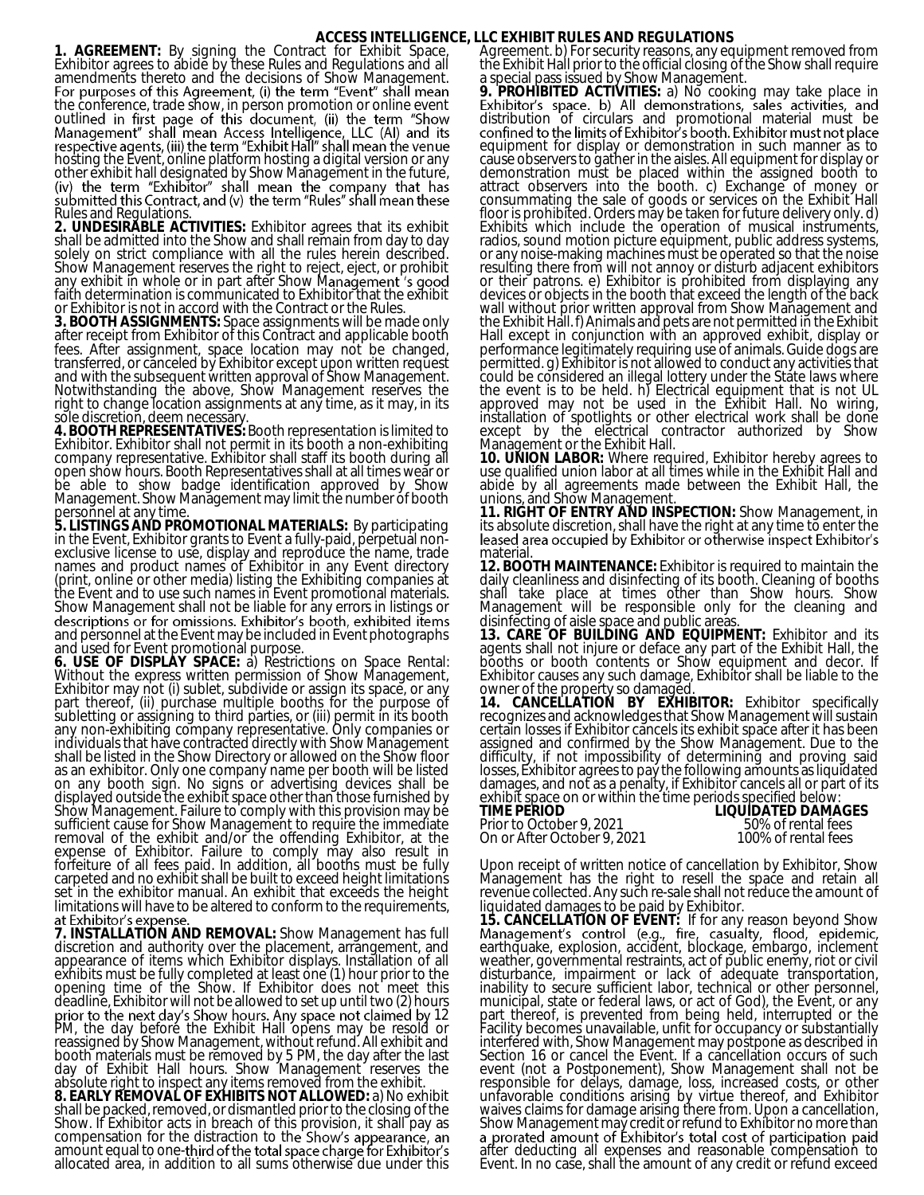## **ACCESS INTELLIGENCE, LLC EXHIBIT RULES AND REGULATIONS**

**1. AGREEMENT:** By signing the Contract for Exhibit Space, Exhibitor agrees to abide by these Rules and Regulations and all amendments thereto and the decisions of Show Management. the conference, trade show, in person promotion or online event outlin hosting the Event, online platform hosting a digital version or any other exhibit hall designated by Show Management in the future, Rules and Regulations.

**2. UNDESIRABLE ACTIVITIES:** Exhibitor agrees that its exhibit shall be admitted into the Show and shall remain from day to day solely on strict compliance with all the rules herein described. Show Management reserves the right to reject, eject, or prohibit any exhibit in whole or in part after Show M faith determination is communicated to Exhibitor that the exhibit or Exhibitor is not in accord with the Contract or the Rules.

**3. BOOTH ASSIGNMENTS:** Space assignments will be made only after receipt from Exhibitor of this Contract and applicable booth fees. After assignment, space location may not be changed, transferred, or canceled by Exhibitor except upon written request and with the subsequent written approval of Show Management. Notwithstanding the above, Show Management reserves the right to change location assignments at any time, as it may, in its sole discretion, deem necessary.

**4. BOOTH REPRESENTATIVES:** Booth representation is limited to Exhibitor. Exhibitor shall not permit in its booth a non-exhibiting company representative. Exhibitor shall staff its booth during all open show hours. Booth Representatives shall at all times wear or be able to show badge identification approved by Show Management. Show Manăgement may limit the number of booth personnel at any time.

**5. LISTINGS AND PROMOTIONAL MATERIALS:** By participating in the Event, Exhibitor grants to Event a fully-paid, perpetual nonexclusive license to use, display and reproduce the name, trade names and product names of Exhibitor in any Event directory (print, online or other media) listing the Exhibiting companies at the Event and to use such names in Event promotional materials. Show Management shall not be liable for any errors in listings or descriptions or for omissions. Exhibitor's booth, exhibited items<br>and personnel at the Event may be included in Event photographs and used for Event promotional purpose.

**6. USE OF DISPLAY SPACE:** a) Restrictions on Space Rental: Without the express written permission of Show Management, Exhibitor may not (i) sublet, subdivide or assign its space, or any part thereof, (ii) purchase multiple booths for the purpose of subletting or assigning to third parties, or (iii) permit in its booth any non-exhibiting company representative. Only companies or individuals that have contracted directly with Show Management shall be listed in the Show Directory or allowed on the Show floor as an exhibitor. Only one company name per booth will be listed on any booth sign. No signs or advertising devices shall be displayed outside the exhibit space other than those furnished by Show Management. Failure to comply with this provision may be sufficient cause for Show Management to require the immediate removal of the exhibit and/or the offending Exhibitor, at the expense of Exhibitor. Failure to comply may also result in forfeiture of all fees paid. In addition, all booths must be fully carpeted and no exhibit shall be built to exceed height limitations set in the exhibitor manual. An exhibit that exceeds the height limitations will have to be altered to conform to the requirements,<br>at Exhibitor's expense.

**7. INSTALLATION AND REMOVAL:** Show Management has full discretion and authority over the placement, arrangement, and appearance of items which Exhibitor displays. Installation of all exhibits must be fully completed at least one (1) hour prior to the opening time of the Show. If Exhibitor does not meet this deadline, Exhibitor will not be allowed to set up until two (2) hours 12 PM, the day before the Exhibit Hall opens may be resold or reassigned by Show Management, without refund. All exhibit and booth materials must be removed by 5 PM, the day after the last day of Exhibit Hall hours. Show Management reserves the absolute right to inspect any items removed from the exhibit. **8. EARLY REMOVAL OF EXHIBITS NOT ALLOWED:** a) No exhibit shall be packed, removed, or dismantled prior to the closing of the

Show. If Exhibitor acts in breach of this provision, it shall pay as compensation for the distraction to th amount equal to one-third of the total space charge for Exhibitor's allocated area, in addition to all sums otherwise due under this

Agreement. b) For security reasons, any equipment removed from the Exhibit Hall prior to the official closing of the Show shall require a special pass issued by Show Management.

**9. PROHIBITED ACTIVITIES:** a) No cooking may take place in Exhibitor's space. b) All demonstrations, sales activities, and distribution of circulars and promotional material must be confined to the limits of Exhibitor's booth. Exhibitor must not place equipment for display or demonstration in such manner as to cause observers to gather in the aisles. All equipment for display or demonstration must be placed within the assigned booth to attract observers into the booth. c) Exchange of money or consummating the sale of goods or services on the Exhibit Hall floor is prohibited. Orders may be taken for future delivery only. d) Exhibits which include the operation of musical instruments, radios, sound motion picture equipment, public address systems, or any noise-making machines must be operated so that the noise resulting there from will not annoy or disturb adjacent exhibitors or their patrons. e) Exhibitor is prohibited from displaying any devices or objects in the booth that exceed the length of the back wall without prior written approval from Show Management and the Exhibit Hall. f) Animals and pets are not permitted in the Exhibit Hall except in conjunction with an approved exhibit, display or performance legitimately requiring use of animals. Guide dogs are permitted. g) Exhibitor is not allowed to conduct any activities that could be considered an illegal lottery under the State laws where the event is to be held. h) Electrical equipment that is not UL approved may not be used in the Exhibit Hall. No wiring, installation of spotlights or other electrical work shall be done except by the electrical contractor authorized by Show Management or the Exhibit Hall.

**10. UNION LABOR:** Where required, Exhibitor hereby agrees to use qualified union labor at all times while in the Exhibit Hall and abide by all agreements made between the Exhibit Hall, the unions, and Show Management.

**11. RIGHT OF ENTRY AND INSPECTION:** Show Management, in its absolute discretion, shall have the right at any time to enter the leased area occupied by Exhibitor or otherwise inspect Exhibitor's material

**12. BOOTH MAINTENANCE:** Exhibitor is required to maintain the daily cleanliness and disinfecting of its booth. Cleaning of booths shall take place at times other than Show hours. Show Management will be responsible only for the cleaning and disinfecting of aisle space and public areas.

**13. CARE OF BUILDING AND EQUIPMENT:** Exhibitor and its agents shall not injure or deface any part of the Exhibit Hall, the booths or booth contents or Show equipment and decor. If Exhibitor causes any such damage, Exhibitor shall be liable to the owner of the property so damaged.

**14. CANCELLATION BY EXHIBITOR:** Exhibitor specifically recognizes and acknowledges that Show Management will sustain certain losses if Exhibitor cancels its exhibit space after it has been assigned and confirmed by the Show Management. Due to the difficulty, if not impossibility of determining and proving said losses, Exhibitor agrees to pay the following amounts as liquidated damages, and not as a penalty, if Exhibitor cancels all or part of its exhibit space on or within the time periods specified below:

Prior to October 9, 2021 50% of rental fees<br>
On or After October 9, 2021 100% of rental fees On or After October 9, 2021

**TIME PERIOD LIQUIDATED DAMAGES** 

Upon receipt of written notice of cancellation by Exhibitor, Show Management has the right to resell the space and retain all revenue collected. Any such re-sale shall not reduce the amount of liquidated damages to be paid by Exhibitor.

**15. CANCELLATION OF EVENT:** If for any reason beyond Show earthquake, explosion, accident, blockage, embargo, inclement weather, governmental restraints, act of public enemy, riot or civil disturbance, impairment or lack of adequate transportation, inability to secure sufficient labor, technical or other personnel, municipal, state or federal laws, or act of God), the Event, or any part thereof, is prevented from being held, interrupted or the Facility becomes unavailable, unfit for occupancy or substantially interfered with, Show Management may postpone as described in Section 16 or cancel the Event. If a cancellation occurs of such event (not a Postponement), Show Management shall not be responsible for delays, damage, loss, increased costs, or other unfavorable conditions arising by virtue thereof, and Exhibitor waives claims for damage arising there from. Upon a cancellation, Show Management may credit or refund to Exhibitor no more than<br>a prorated amount of Exhibitor's total cost of participation paid after deducting all expenses and reasonable compensation to Event. In no case, shall the amount of any credit or refund exceed